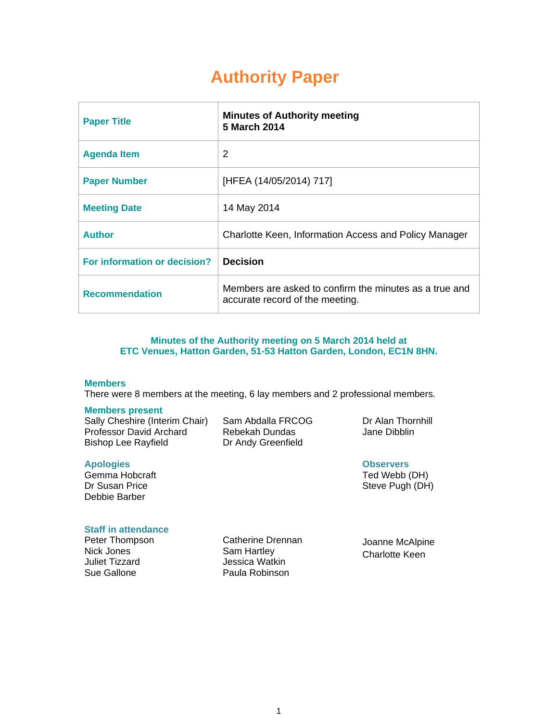# **Authority Paper**

| <b>Paper Title</b>           | <b>Minutes of Authority meeting</b><br>5 March 2014                                       |
|------------------------------|-------------------------------------------------------------------------------------------|
| <b>Agenda Item</b>           | 2                                                                                         |
| <b>Paper Number</b>          | [HFEA (14/05/2014) 717]                                                                   |
| <b>Meeting Date</b>          | 14 May 2014                                                                               |
| <b>Author</b>                | Charlotte Keen, Information Access and Policy Manager                                     |
| For information or decision? | <b>Decision</b>                                                                           |
| <b>Recommendation</b>        | Members are asked to confirm the minutes as a true and<br>accurate record of the meeting. |

#### **Minutes of the Authority meeting on 5 March 2014 held at ETC Venues, Hatton Garden, 51-53 Hatton Garden, London, EC1N 8HN.**

#### **Members**

There were 8 members at the meeting, 6 lay members and 2 professional members.

#### **Members present**

Sally Cheshire (Interim Chair) Professor David Archard Bishop Lee Rayfield

Sam Abdalla FRCOG Rebekah Dundas Dr Andy Greenfield

Dr Alan Thornhill Jane Dibblin

**Observers**  Ted Webb (DH) Steve Pugh (DH)

#### **Apologies**

Gemma Hobcraft Dr Susan Price Debbie Barber

# **Staff in attendance**

Peter Thompson Nick Jones Juliet Tizzard Sue Gallone

Catherine Drennan Sam Hartley Jessica Watkin Paula Robinson

Joanne McAlpine Charlotte Keen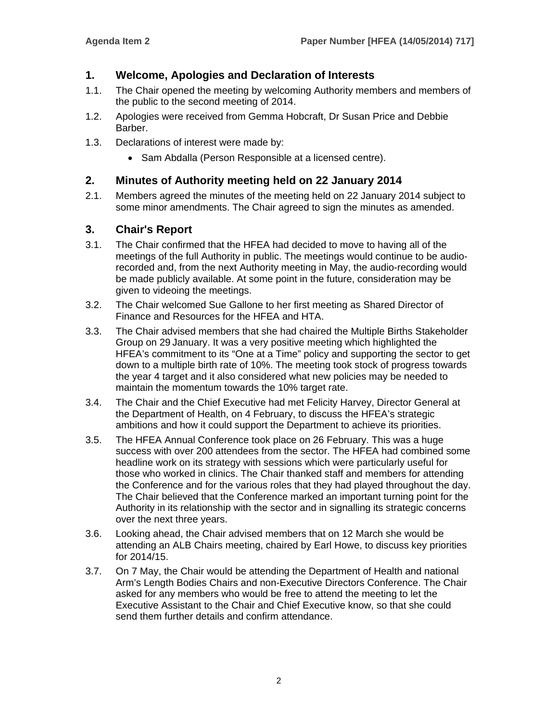# **1. Welcome, Apologies and Declaration of Interests**

- 1.1. The Chair opened the meeting by welcoming Authority members and members of the public to the second meeting of 2014.
- 1.2. Apologies were received from Gemma Hobcraft, Dr Susan Price and Debbie Barber.
- 1.3. Declarations of interest were made by:
	- Sam Abdalla (Person Responsible at a licensed centre).

# **2. Minutes of Authority meeting held on 22 January 2014**

2.1. Members agreed the minutes of the meeting held on 22 January 2014 subject to some minor amendments. The Chair agreed to sign the minutes as amended.

# **3. Chair's Report**

- 3.1. The Chair confirmed that the HFEA had decided to move to having all of the meetings of the full Authority in public. The meetings would continue to be audiorecorded and, from the next Authority meeting in May, the audio-recording would be made publicly available. At some point in the future, consideration may be given to videoing the meetings.
- 3.2. The Chair welcomed Sue Gallone to her first meeting as Shared Director of Finance and Resources for the HFEA and HTA.
- 3.3. The Chair advised members that she had chaired the Multiple Births Stakeholder Group on 29 January. It was a very positive meeting which highlighted the HFEA's commitment to its "One at a Time" policy and supporting the sector to get down to a multiple birth rate of 10%. The meeting took stock of progress towards the year 4 target and it also considered what new policies may be needed to maintain the momentum towards the 10% target rate.
- 3.4. The Chair and the Chief Executive had met Felicity Harvey, Director General at the Department of Health, on 4 February, to discuss the HFEA's strategic ambitions and how it could support the Department to achieve its priorities.
- 3.5. The HFEA Annual Conference took place on 26 February. This was a huge success with over 200 attendees from the sector. The HFEA had combined some headline work on its strategy with sessions which were particularly useful for those who worked in clinics. The Chair thanked staff and members for attending the Conference and for the various roles that they had played throughout the day. The Chair believed that the Conference marked an important turning point for the Authority in its relationship with the sector and in signalling its strategic concerns over the next three years.
- 3.6. Looking ahead, the Chair advised members that on 12 March she would be attending an ALB Chairs meeting, chaired by Earl Howe, to discuss key priorities for 2014/15.
- 3.7. On 7 May, the Chair would be attending the Department of Health and national Arm's Length Bodies Chairs and non-Executive Directors Conference. The Chair asked for any members who would be free to attend the meeting to let the Executive Assistant to the Chair and Chief Executive know, so that she could send them further details and confirm attendance.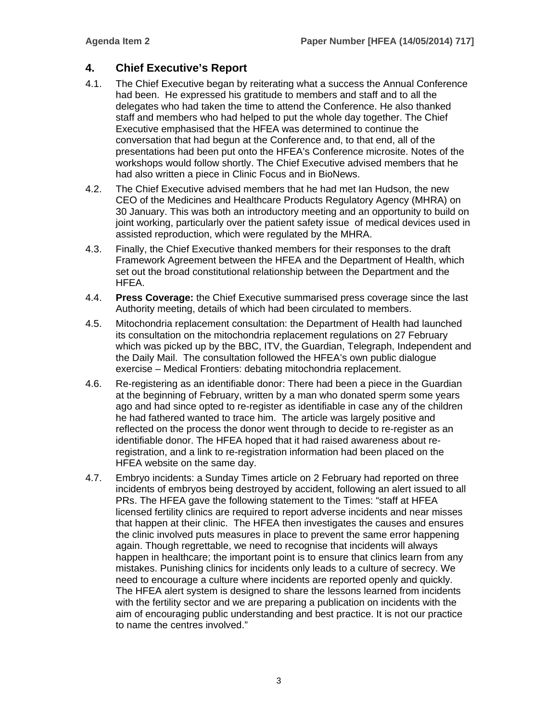# **4. Chief Executive's Report**

- 4.1. The Chief Executive began by reiterating what a success the Annual Conference had been. He expressed his gratitude to members and staff and to all the delegates who had taken the time to attend the Conference. He also thanked staff and members who had helped to put the whole day together. The Chief Executive emphasised that the HFEA was determined to continue the conversation that had begun at the Conference and, to that end, all of the presentations had been put onto the HFEA's Conference microsite. Notes of the workshops would follow shortly. The Chief Executive advised members that he had also written a piece in Clinic Focus and in BioNews.
- 4.2. The Chief Executive advised members that he had met Ian Hudson, the new CEO of the Medicines and Healthcare Products Regulatory Agency (MHRA) on 30 January. This was both an introductory meeting and an opportunity to build on joint working, particularly over the patient safety issue of medical devices used in assisted reproduction, which were regulated by the MHRA.
- 4.3. Finally, the Chief Executive thanked members for their responses to the draft Framework Agreement between the HFEA and the Department of Health, which set out the broad constitutional relationship between the Department and the HFEA.
- 4.4. **Press Coverage:** the Chief Executive summarised press coverage since the last Authority meeting, details of which had been circulated to members.
- 4.5. Mitochondria replacement consultation: the Department of Health had launched its consultation on the mitochondria replacement regulations on 27 February which was picked up by the BBC, ITV, the Guardian, Telegraph, Independent and the Daily Mail. The consultation followed the HFEA's own public dialogue exercise – Medical Frontiers: debating mitochondria replacement.
- 4.6. Re-registering as an identifiable donor: There had been a piece in the Guardian at the beginning of February, written by a man who donated sperm some years ago and had since opted to re-register as identifiable in case any of the children he had fathered wanted to trace him. The article was largely positive and reflected on the process the donor went through to decide to re-register as an identifiable donor. The HFEA hoped that it had raised awareness about reregistration, and a link to re-registration information had been placed on the HFEA website on the same day.
- 4.7. Embryo incidents: a Sunday Times article on 2 February had reported on three incidents of embryos being destroyed by accident, following an alert issued to all PRs. The HFEA gave the following statement to the Times: "staff at HFEA licensed fertility clinics are required to report adverse incidents and near misses that happen at their clinic. The HFEA then investigates the causes and ensures the clinic involved puts measures in place to prevent the same error happening again. Though regrettable, we need to recognise that incidents will always happen in healthcare; the important point is to ensure that clinics learn from any mistakes. Punishing clinics for incidents only leads to a culture of secrecy. We need to encourage a culture where incidents are reported openly and quickly. The HFEA alert system is designed to share the lessons learned from incidents with the fertility sector and we are preparing a publication on incidents with the aim of encouraging public understanding and best practice. It is not our practice to name the centres involved."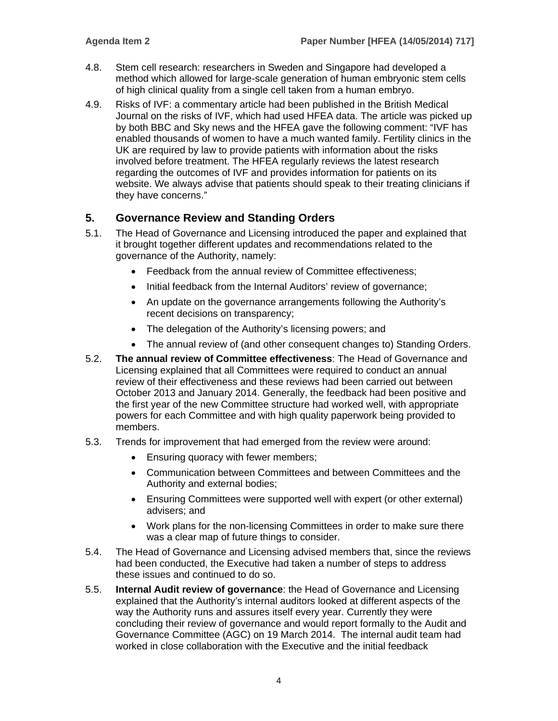- 4.8. Stem cell research: researchers in Sweden and Singapore had developed a method which allowed for large-scale generation of human embryonic stem cells of high clinical quality from a single cell taken from a human embryo.
- 4.9. Risks of IVF: a commentary article had been published in the British Medical Journal on the risks of IVF, which had used HFEA data. The article was picked up by both BBC and Sky news and the HFEA gave the following comment: "IVF has enabled thousands of women to have a much wanted family. Fertility clinics in the UK are required by law to provide patients with information about the risks involved before treatment. The HFEA regularly reviews the latest research regarding the outcomes of IVF and provides information for patients on its website. We always advise that patients should speak to their treating clinicians if they have concerns."

# **5. Governance Review and Standing Orders**

- 5.1. The Head of Governance and Licensing introduced the paper and explained that it brought together different updates and recommendations related to the governance of the Authority, namely:
	- Feedback from the annual review of Committee effectiveness:
	- Initial feedback from the Internal Auditors' review of governance;
	- An update on the governance arrangements following the Authority's recent decisions on transparency;
	- The delegation of the Authority's licensing powers; and
	- The annual review of (and other consequent changes to) Standing Orders.
- 5.2. **The annual review of Committee effectiveness**: The Head of Governance and Licensing explained that all Committees were required to conduct an annual review of their effectiveness and these reviews had been carried out between October 2013 and January 2014. Generally, the feedback had been positive and the first year of the new Committee structure had worked well, with appropriate powers for each Committee and with high quality paperwork being provided to members.
- 5.3. Trends for improvement that had emerged from the review were around:
	- **Ensuring quoracy with fewer members;**
	- Communication between Committees and between Committees and the Authority and external bodies;
	- Ensuring Committees were supported well with expert (or other external) advisers; and
	- Work plans for the non-licensing Committees in order to make sure there was a clear map of future things to consider.
- 5.4. The Head of Governance and Licensing advised members that, since the reviews had been conducted, the Executive had taken a number of steps to address these issues and continued to do so.
- 5.5. **Internal Audit review of governance**: the Head of Governance and Licensing explained that the Authority's internal auditors looked at different aspects of the way the Authority runs and assures itself every year. Currently they were concluding their review of governance and would report formally to the Audit and Governance Committee (AGC) on 19 March 2014. The internal audit team had worked in close collaboration with the Executive and the initial feedback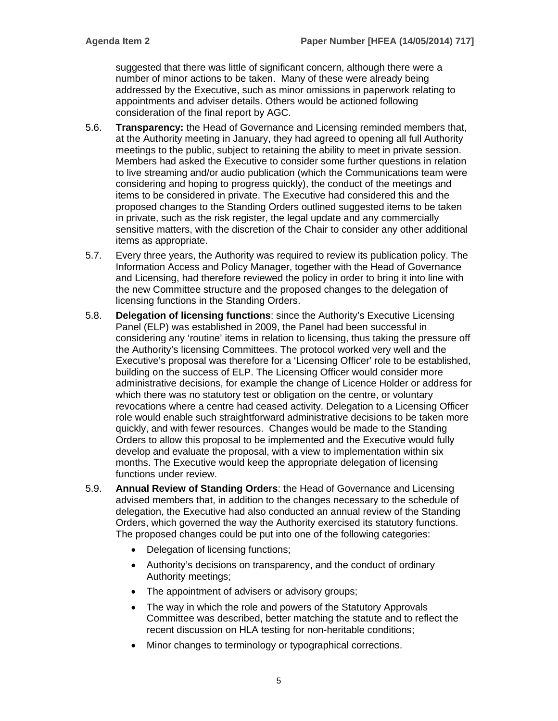suggested that there was little of significant concern, although there were a number of minor actions to be taken. Many of these were already being addressed by the Executive, such as minor omissions in paperwork relating to appointments and adviser details. Others would be actioned following consideration of the final report by AGC.

- 5.6. **Transparency:** the Head of Governance and Licensing reminded members that, at the Authority meeting in January, they had agreed to opening all full Authority meetings to the public, subject to retaining the ability to meet in private session. Members had asked the Executive to consider some further questions in relation to live streaming and/or audio publication (which the Communications team were considering and hoping to progress quickly), the conduct of the meetings and items to be considered in private. The Executive had considered this and the proposed changes to the Standing Orders outlined suggested items to be taken in private, such as the risk register, the legal update and any commercially sensitive matters, with the discretion of the Chair to consider any other additional items as appropriate.
- 5.7. Every three years, the Authority was required to review its publication policy. The Information Access and Policy Manager, together with the Head of Governance and Licensing, had therefore reviewed the policy in order to bring it into line with the new Committee structure and the proposed changes to the delegation of licensing functions in the Standing Orders.
- 5.8. **Delegation of licensing functions**: since the Authority's Executive Licensing Panel (ELP) was established in 2009, the Panel had been successful in considering any 'routine' items in relation to licensing, thus taking the pressure off the Authority's licensing Committees. The protocol worked very well and the Executive's proposal was therefore for a 'Licensing Officer' role to be established, building on the success of ELP. The Licensing Officer would consider more administrative decisions, for example the change of Licence Holder or address for which there was no statutory test or obligation on the centre, or voluntary revocations where a centre had ceased activity. Delegation to a Licensing Officer role would enable such straightforward administrative decisions to be taken more quickly, and with fewer resources. Changes would be made to the Standing Orders to allow this proposal to be implemented and the Executive would fully develop and evaluate the proposal, with a view to implementation within six months. The Executive would keep the appropriate delegation of licensing functions under review.
- 5.9. **Annual Review of Standing Orders**: the Head of Governance and Licensing advised members that, in addition to the changes necessary to the schedule of delegation, the Executive had also conducted an annual review of the Standing Orders, which governed the way the Authority exercised its statutory functions. The proposed changes could be put into one of the following categories:
	- Delegation of licensing functions;
	- Authority's decisions on transparency, and the conduct of ordinary Authority meetings;
	- The appointment of advisers or advisory groups;
	- The way in which the role and powers of the Statutory Approvals Committee was described, better matching the statute and to reflect the recent discussion on HLA testing for non-heritable conditions;
	- Minor changes to terminology or typographical corrections.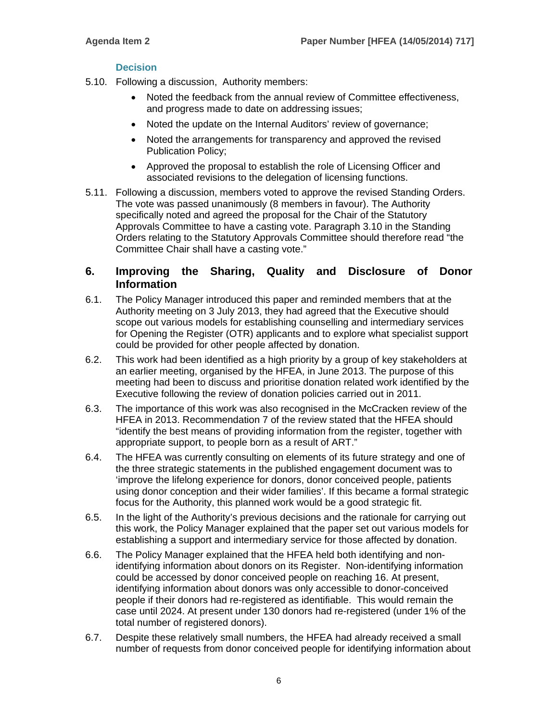### **Decision**

- 5.10. Following a discussion, Authority members:
	- Noted the feedback from the annual review of Committee effectiveness, and progress made to date on addressing issues;
	- Noted the update on the Internal Auditors' review of governance;
	- Noted the arrangements for transparency and approved the revised Publication Policy;
	- Approved the proposal to establish the role of Licensing Officer and associated revisions to the delegation of licensing functions.
- 5.11. Following a discussion, members voted to approve the revised Standing Orders. The vote was passed unanimously (8 members in favour). The Authority specifically noted and agreed the proposal for the Chair of the Statutory Approvals Committee to have a casting vote. Paragraph 3.10 in the Standing Orders relating to the Statutory Approvals Committee should therefore read "the Committee Chair shall have a casting vote."

# **6. Improving the Sharing, Quality and Disclosure of Donor Information**

- 6.1. The Policy Manager introduced this paper and reminded members that at the Authority meeting on 3 July 2013, they had agreed that the Executive should scope out various models for establishing counselling and intermediary services for Opening the Register (OTR) applicants and to explore what specialist support could be provided for other people affected by donation.
- 6.2. This work had been identified as a high priority by a group of key stakeholders at an earlier meeting, organised by the HFEA, in June 2013. The purpose of this meeting had been to discuss and prioritise donation related work identified by the Executive following the review of donation policies carried out in 2011.
- 6.3. The importance of this work was also recognised in the McCracken review of the HFEA in 2013. Recommendation 7 of the review stated that the HFEA should "identify the best means of providing information from the register, together with appropriate support, to people born as a result of ART."
- 6.4. The HFEA was currently consulting on elements of its future strategy and one of the three strategic statements in the published engagement document was to 'improve the lifelong experience for donors, donor conceived people, patients using donor conception and their wider families'. If this became a formal strategic focus for the Authority, this planned work would be a good strategic fit.
- 6.5. In the light of the Authority's previous decisions and the rationale for carrying out this work, the Policy Manager explained that the paper set out various models for establishing a support and intermediary service for those affected by donation.
- 6.6. The Policy Manager explained that the HFEA held both identifying and nonidentifying information about donors on its Register. Non-identifying information could be accessed by donor conceived people on reaching 16. At present, identifying information about donors was only accessible to donor-conceived people if their donors had re-registered as identifiable. This would remain the case until 2024. At present under 130 donors had re-registered (under 1% of the total number of registered donors).
- 6.7. Despite these relatively small numbers, the HFEA had already received a small number of requests from donor conceived people for identifying information about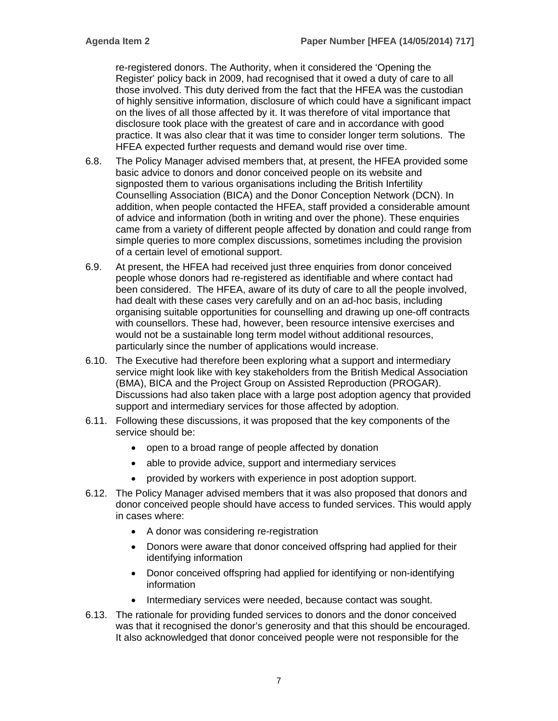re-registered donors. The Authority, when it considered the 'Opening the Register' policy back in 2009, had recognised that it owed a duty of care to all those involved. This duty derived from the fact that the HFEA was the custodian of highly sensitive information, disclosure of which could have a significant impact on the lives of all those affected by it. It was therefore of vital importance that disclosure took place with the greatest of care and in accordance with good practice. It was also clear that it was time to consider longer term solutions. The HFEA expected further requests and demand would rise over time.

- 6.8. The Policy Manager advised members that, at present, the HFEA provided some basic advice to donors and donor conceived people on its website and signposted them to various organisations including the British Infertility Counselling Association (BICA) and the Donor Conception Network (DCN). In addition, when people contacted the HFEA, staff provided a considerable amount of advice and information (both in writing and over the phone). These enquiries came from a variety of different people affected by donation and could range from simple queries to more complex discussions, sometimes including the provision of a certain level of emotional support.
- 6.9. At present, the HFEA had received just three enquiries from donor conceived people whose donors had re-registered as identifiable and where contact had been considered. The HFEA, aware of its duty of care to all the people involved, had dealt with these cases very carefully and on an ad-hoc basis, including organising suitable opportunities for counselling and drawing up one-off contracts with counsellors. These had, however, been resource intensive exercises and would not be a sustainable long term model without additional resources, particularly since the number of applications would increase.
- 6.10. The Executive had therefore been exploring what a support and intermediary service might look like with key stakeholders from the British Medical Association (BMA), BICA and the Project Group on Assisted Reproduction (PROGAR). Discussions had also taken place with a large post adoption agency that provided support and intermediary services for those affected by adoption.
- 6.11. Following these discussions, it was proposed that the key components of the service should be:
	- open to a broad range of people affected by donation
	- able to provide advice, support and intermediary services
	- provided by workers with experience in post adoption support.
- 6.12. The Policy Manager advised members that it was also proposed that donors and donor conceived people should have access to funded services. This would apply in cases where:
	- A donor was considering re-registration
	- Donors were aware that donor conceived offspring had applied for their identifying information
	- Donor conceived offspring had applied for identifying or non-identifying information
	- Intermediary services were needed, because contact was sought.
- 6.13. The rationale for providing funded services to donors and the donor conceived was that it recognised the donor's generosity and that this should be encouraged. It also acknowledged that donor conceived people were not responsible for the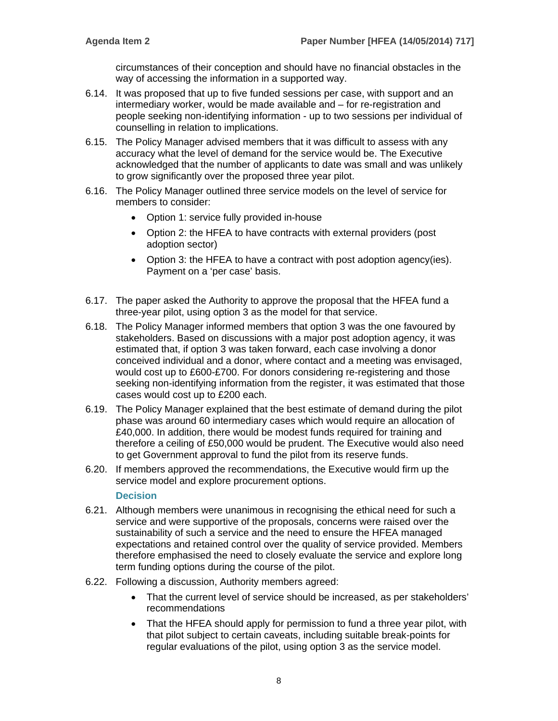circumstances of their conception and should have no financial obstacles in the way of accessing the information in a supported way.

- 6.14. It was proposed that up to five funded sessions per case, with support and an intermediary worker, would be made available and – for re-registration and people seeking non-identifying information - up to two sessions per individual of counselling in relation to implications.
- 6.15. The Policy Manager advised members that it was difficult to assess with any accuracy what the level of demand for the service would be. The Executive acknowledged that the number of applicants to date was small and was unlikely to grow significantly over the proposed three year pilot.
- 6.16. The Policy Manager outlined three service models on the level of service for members to consider:
	- Option 1: service fully provided in-house
	- Option 2: the HFEA to have contracts with external providers (post adoption sector)
	- Option 3: the HFEA to have a contract with post adoption agency(ies). Payment on a 'per case' basis.
- 6.17. The paper asked the Authority to approve the proposal that the HFEA fund a three-year pilot, using option 3 as the model for that service.
- 6.18. The Policy Manager informed members that option 3 was the one favoured by stakeholders. Based on discussions with a major post adoption agency, it was estimated that, if option 3 was taken forward, each case involving a donor conceived individual and a donor, where contact and a meeting was envisaged, would cost up to £600-£700. For donors considering re-registering and those seeking non-identifying information from the register, it was estimated that those cases would cost up to £200 each.
- 6.19. The Policy Manager explained that the best estimate of demand during the pilot phase was around 60 intermediary cases which would require an allocation of £40,000. In addition, there would be modest funds required for training and therefore a ceiling of £50,000 would be prudent. The Executive would also need to get Government approval to fund the pilot from its reserve funds.
- 6.20. If members approved the recommendations, the Executive would firm up the service model and explore procurement options.

#### **Decision**

- 6.21. Although members were unanimous in recognising the ethical need for such a service and were supportive of the proposals, concerns were raised over the sustainability of such a service and the need to ensure the HFEA managed expectations and retained control over the quality of service provided. Members therefore emphasised the need to closely evaluate the service and explore long term funding options during the course of the pilot.
- 6.22. Following a discussion, Authority members agreed:
	- That the current level of service should be increased, as per stakeholders' recommendations
	- That the HFEA should apply for permission to fund a three year pilot, with that pilot subject to certain caveats, including suitable break-points for regular evaluations of the pilot, using option 3 as the service model.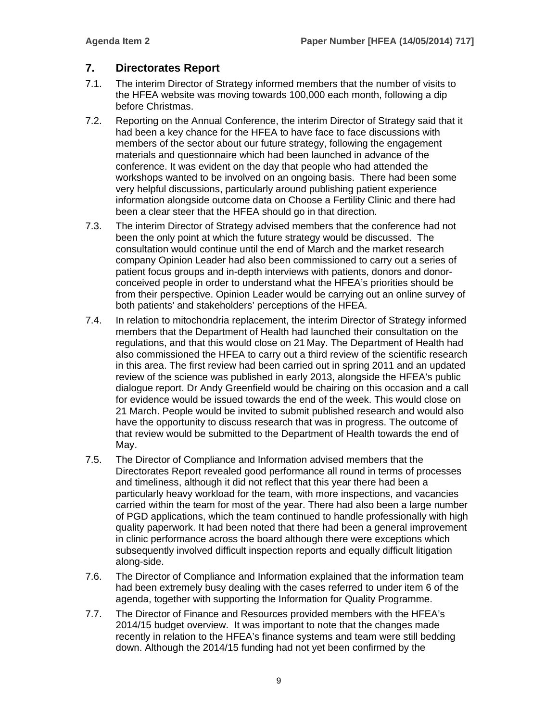# **7. Directorates Report**

- 7.1. The interim Director of Strategy informed members that the number of visits to the HFEA website was moving towards 100,000 each month, following a dip before Christmas.
- 7.2. Reporting on the Annual Conference, the interim Director of Strategy said that it had been a key chance for the HFEA to have face to face discussions with members of the sector about our future strategy, following the engagement materials and questionnaire which had been launched in advance of the conference. It was evident on the day that people who had attended the workshops wanted to be involved on an ongoing basis. There had been some very helpful discussions, particularly around publishing patient experience information alongside outcome data on Choose a Fertility Clinic and there had been a clear steer that the HFEA should go in that direction.
- 7.3. The interim Director of Strategy advised members that the conference had not been the only point at which the future strategy would be discussed. The consultation would continue until the end of March and the market research company Opinion Leader had also been commissioned to carry out a series of patient focus groups and in-depth interviews with patients, donors and donorconceived people in order to understand what the HFEA's priorities should be from their perspective. Opinion Leader would be carrying out an online survey of both patients' and stakeholders' perceptions of the HFEA.
- 7.4. In relation to mitochondria replacement, the interim Director of Strategy informed members that the Department of Health had launched their consultation on the regulations, and that this would close on 21 May. The Department of Health had also commissioned the HFEA to carry out a third review of the scientific research in this area. The first review had been carried out in spring 2011 and an updated review of the science was published in early 2013, alongside the HFEA's public dialogue report. Dr Andy Greenfield would be chairing on this occasion and a call for evidence would be issued towards the end of the week. This would close on 21 March. People would be invited to submit published research and would also have the opportunity to discuss research that was in progress. The outcome of that review would be submitted to the Department of Health towards the end of May.
- 7.5. The Director of Compliance and Information advised members that the Directorates Report revealed good performance all round in terms of processes and timeliness, although it did not reflect that this year there had been a particularly heavy workload for the team, with more inspections, and vacancies carried within the team for most of the year. There had also been a large number of PGD applications, which the team continued to handle professionally with high quality paperwork. It had been noted that there had been a general improvement in clinic performance across the board although there were exceptions which subsequently involved difficult inspection reports and equally difficult litigation along-side.
- 7.6. The Director of Compliance and Information explained that the information team had been extremely busy dealing with the cases referred to under item 6 of the agenda, together with supporting the Information for Quality Programme.
- 7.7. The Director of Finance and Resources provided members with the HFEA's 2014/15 budget overview. It was important to note that the changes made recently in relation to the HFEA's finance systems and team were still bedding down. Although the 2014/15 funding had not yet been confirmed by the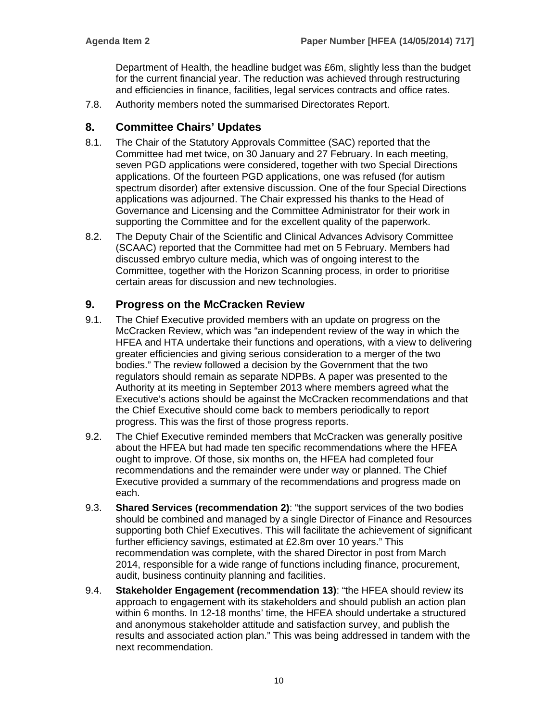Department of Health, the headline budget was £6m, slightly less than the budget for the current financial year. The reduction was achieved through restructuring and efficiencies in finance, facilities, legal services contracts and office rates.

7.8. Authority members noted the summarised Directorates Report.

# **8. Committee Chairs' Updates**

- 8.1. The Chair of the Statutory Approvals Committee (SAC) reported that the Committee had met twice, on 30 January and 27 February. In each meeting, seven PGD applications were considered, together with two Special Directions applications. Of the fourteen PGD applications, one was refused (for autism spectrum disorder) after extensive discussion. One of the four Special Directions applications was adjourned. The Chair expressed his thanks to the Head of Governance and Licensing and the Committee Administrator for their work in supporting the Committee and for the excellent quality of the paperwork.
- 8.2. The Deputy Chair of the Scientific and Clinical Advances Advisory Committee (SCAAC) reported that the Committee had met on 5 February. Members had discussed embryo culture media, which was of ongoing interest to the Committee, together with the Horizon Scanning process, in order to prioritise certain areas for discussion and new technologies.

# **9. Progress on the McCracken Review**

- 9.1. The Chief Executive provided members with an update on progress on the McCracken Review, which was "an independent review of the way in which the HFEA and HTA undertake their functions and operations, with a view to delivering greater efficiencies and giving serious consideration to a merger of the two bodies." The review followed a decision by the Government that the two regulators should remain as separate NDPBs. A paper was presented to the Authority at its meeting in September 2013 where members agreed what the Executive's actions should be against the McCracken recommendations and that the Chief Executive should come back to members periodically to report progress. This was the first of those progress reports.
- 9.2. The Chief Executive reminded members that McCracken was generally positive about the HFEA but had made ten specific recommendations where the HFEA ought to improve. Of those, six months on, the HFEA had completed four recommendations and the remainder were under way or planned. The Chief Executive provided a summary of the recommendations and progress made on each.
- 9.3. **Shared Services (recommendation 2)**: "the support services of the two bodies should be combined and managed by a single Director of Finance and Resources supporting both Chief Executives. This will facilitate the achievement of significant further efficiency savings, estimated at £2.8m over 10 years." This recommendation was complete, with the shared Director in post from March 2014, responsible for a wide range of functions including finance, procurement, audit, business continuity planning and facilities.
- 9.4. **Stakeholder Engagement (recommendation 13)**: "the HFEA should review its approach to engagement with its stakeholders and should publish an action plan within 6 months. In 12-18 months' time, the HFEA should undertake a structured and anonymous stakeholder attitude and satisfaction survey, and publish the results and associated action plan." This was being addressed in tandem with the next recommendation.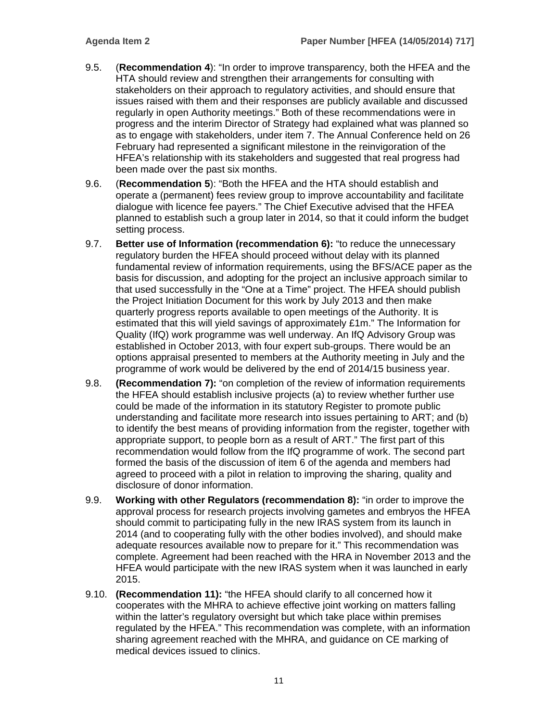- 9.5. (**Recommendation 4**): "In order to improve transparency, both the HFEA and the HTA should review and strengthen their arrangements for consulting with stakeholders on their approach to regulatory activities, and should ensure that issues raised with them and their responses are publicly available and discussed regularly in open Authority meetings." Both of these recommendations were in progress and the interim Director of Strategy had explained what was planned so as to engage with stakeholders, under item 7. The Annual Conference held on 26 February had represented a significant milestone in the reinvigoration of the HFEA's relationship with its stakeholders and suggested that real progress had been made over the past six months.
- 9.6. (**Recommendation 5**): "Both the HFEA and the HTA should establish and operate a (permanent) fees review group to improve accountability and facilitate dialogue with licence fee payers." The Chief Executive advised that the HFEA planned to establish such a group later in 2014, so that it could inform the budget setting process.
- 9.7. **Better use of Information (recommendation 6):** "to reduce the unnecessary regulatory burden the HFEA should proceed without delay with its planned fundamental review of information requirements, using the BFS/ACE paper as the basis for discussion, and adopting for the project an inclusive approach similar to that used successfully in the "One at a Time" project. The HFEA should publish the Project Initiation Document for this work by July 2013 and then make quarterly progress reports available to open meetings of the Authority. It is estimated that this will yield savings of approximately £1m." The Information for Quality (IfQ) work programme was well underway. An IfQ Advisory Group was established in October 2013, with four expert sub-groups. There would be an options appraisal presented to members at the Authority meeting in July and the programme of work would be delivered by the end of 2014/15 business year.
- 9.8. **(Recommendation 7):** "on completion of the review of information requirements the HFEA should establish inclusive projects (a) to review whether further use could be made of the information in its statutory Register to promote public understanding and facilitate more research into issues pertaining to ART; and (b) to identify the best means of providing information from the register, together with appropriate support, to people born as a result of ART." The first part of this recommendation would follow from the IfQ programme of work. The second part formed the basis of the discussion of item 6 of the agenda and members had agreed to proceed with a pilot in relation to improving the sharing, quality and disclosure of donor information.
- 9.9. **Working with other Regulators (recommendation 8):** "in order to improve the approval process for research projects involving gametes and embryos the HFEA should commit to participating fully in the new IRAS system from its launch in 2014 (and to cooperating fully with the other bodies involved), and should make adequate resources available now to prepare for it." This recommendation was complete. Agreement had been reached with the HRA in November 2013 and the HFEA would participate with the new IRAS system when it was launched in early 2015.
- 9.10. **(Recommendation 11):** "the HFEA should clarify to all concerned how it cooperates with the MHRA to achieve effective joint working on matters falling within the latter's regulatory oversight but which take place within premises regulated by the HFEA." This recommendation was complete, with an information sharing agreement reached with the MHRA, and guidance on CE marking of medical devices issued to clinics.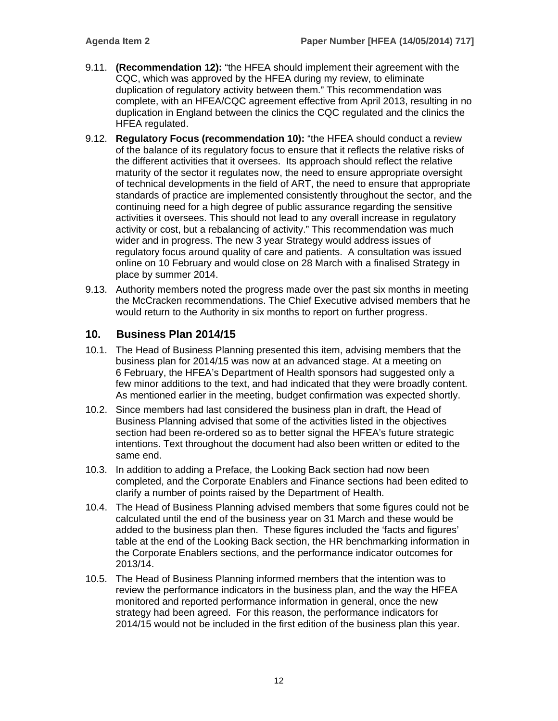- 9.11. **(Recommendation 12):** "the HFEA should implement their agreement with the CQC, which was approved by the HFEA during my review, to eliminate duplication of regulatory activity between them." This recommendation was complete, with an HFEA/CQC agreement effective from April 2013, resulting in no duplication in England between the clinics the CQC regulated and the clinics the HFEA regulated.
- 9.12. **Regulatory Focus (recommendation 10):** "the HFEA should conduct a review of the balance of its regulatory focus to ensure that it reflects the relative risks of the different activities that it oversees. Its approach should reflect the relative maturity of the sector it regulates now, the need to ensure appropriate oversight of technical developments in the field of ART, the need to ensure that appropriate standards of practice are implemented consistently throughout the sector, and the continuing need for a high degree of public assurance regarding the sensitive activities it oversees. This should not lead to any overall increase in regulatory activity or cost, but a rebalancing of activity." This recommendation was much wider and in progress. The new 3 year Strategy would address issues of regulatory focus around quality of care and patients. A consultation was issued online on 10 February and would close on 28 March with a finalised Strategy in place by summer 2014.
- 9.13. Authority members noted the progress made over the past six months in meeting the McCracken recommendations. The Chief Executive advised members that he would return to the Authority in six months to report on further progress.

# **10. Business Plan 2014/15**

- 10.1. The Head of Business Planning presented this item, advising members that the business plan for 2014/15 was now at an advanced stage. At a meeting on 6 February, the HFEA's Department of Health sponsors had suggested only a few minor additions to the text, and had indicated that they were broadly content. As mentioned earlier in the meeting, budget confirmation was expected shortly.
- 10.2. Since members had last considered the business plan in draft, the Head of Business Planning advised that some of the activities listed in the objectives section had been re-ordered so as to better signal the HFEA's future strategic intentions. Text throughout the document had also been written or edited to the same end.
- 10.3. In addition to adding a Preface, the Looking Back section had now been completed, and the Corporate Enablers and Finance sections had been edited to clarify a number of points raised by the Department of Health.
- 10.4. The Head of Business Planning advised members that some figures could not be calculated until the end of the business year on 31 March and these would be added to the business plan then. These figures included the 'facts and figures' table at the end of the Looking Back section, the HR benchmarking information in the Corporate Enablers sections, and the performance indicator outcomes for 2013/14.
- 10.5. The Head of Business Planning informed members that the intention was to review the performance indicators in the business plan, and the way the HFEA monitored and reported performance information in general, once the new strategy had been agreed. For this reason, the performance indicators for 2014/15 would not be included in the first edition of the business plan this year.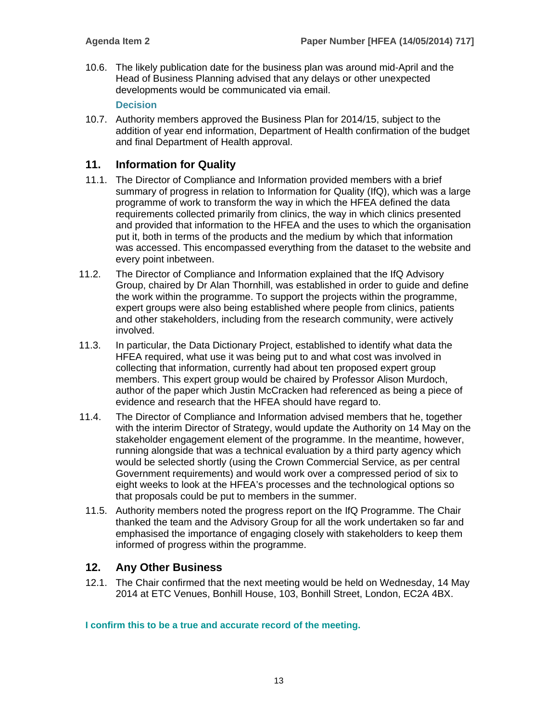10.6. The likely publication date for the business plan was around mid-April and the Head of Business Planning advised that any delays or other unexpected developments would be communicated via email.

#### **Decision**

10.7. Authority members approved the Business Plan for 2014/15, subject to the addition of year end information, Department of Health confirmation of the budget and final Department of Health approval.

# **11. Information for Quality**

- 11.1. The Director of Compliance and Information provided members with a brief summary of progress in relation to Information for Quality (IfQ), which was a large programme of work to transform the way in which the HFEA defined the data requirements collected primarily from clinics, the way in which clinics presented and provided that information to the HFEA and the uses to which the organisation put it, both in terms of the products and the medium by which that information was accessed. This encompassed everything from the dataset to the website and every point inbetween.
- 11.2. The Director of Compliance and Information explained that the IfQ Advisory Group, chaired by Dr Alan Thornhill, was established in order to guide and define the work within the programme. To support the projects within the programme, expert groups were also being established where people from clinics, patients and other stakeholders, including from the research community, were actively involved.
- 11.3. In particular, the Data Dictionary Project, established to identify what data the HFEA required, what use it was being put to and what cost was involved in collecting that information, currently had about ten proposed expert group members. This expert group would be chaired by Professor Alison Murdoch, author of the paper which Justin McCracken had referenced as being a piece of evidence and research that the HFEA should have regard to.
- 11.4. The Director of Compliance and Information advised members that he, together with the interim Director of Strategy, would update the Authority on 14 May on the stakeholder engagement element of the programme. In the meantime, however, running alongside that was a technical evaluation by a third party agency which would be selected shortly (using the Crown Commercial Service, as per central Government requirements) and would work over a compressed period of six to eight weeks to look at the HFEA's processes and the technological options so that proposals could be put to members in the summer.
- 11.5. Authority members noted the progress report on the IfQ Programme. The Chair thanked the team and the Advisory Group for all the work undertaken so far and emphasised the importance of engaging closely with stakeholders to keep them informed of progress within the programme.

# **12. Any Other Business**

12.1. The Chair confirmed that the next meeting would be held on Wednesday, 14 May 2014 at ETC Venues, Bonhill House, 103, Bonhill Street, London, EC2A 4BX.

**I confirm this to be a true and accurate record of the meeting.**